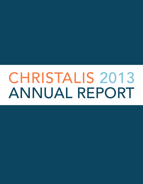# CHRISTALIS 2013 ANNUAL REPORT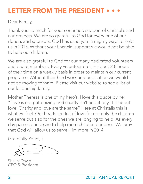### **LETTER FROM THE PRESIDEN**

Dear Family,

Thank you so much for your continued support of Christalis and our projects. We are so grateful to God for every one of our donors and sponsors. God has used you in mighty ways to help us in 2013. Without your financial support we would not be able to help our children.

We are also grateful to God for our many dedicated volunteers and board members. Every volunteer puts in about 2-8 hours of their time on a weekly basis in order to maintain our current programs. Without their hard work and dedication we would not be moving forward. Please visit our website to see a list of our leadership family.

Mother Theresa is one of my hero's. I love this quote by her "Love is not patronizing and charity isn't about pity, it is about love. Charity and love are the same" Here at Christalis this is what we feel. Our hearts are full of love for not only the children we serve but also for the ones we are longing to help. As every day passes our desire to help more children deepens. We pray that God will allow us to serve Him more in 2014.

Gratefully Yours,

Shalini David CEO & President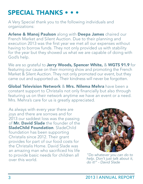### SPECIAL THANKS • •

A Very Special thank you to the following individuals and organizations:

Arlene & Manoj Paulson along with Deepa James chaired our French Market and Silent Auction. Due to their planning and execution 2013 was the first year we met all our expenses without having to borrow funds. They not only provided us with stability for the year but they showed us what we are capable of doing with God's help.

We are so grateful to Jerry Woods, Spencer White, & WGTS 91.9 for featuring our cause on their morning show and promoting the French Market & Silent Auction. They not only promoted our event, but they came out and supported us. Their kindness will never be forgotten.

Global Television Network & Mrs. Nilema Mehra have been a constant support to Christalis not only financially but also through featuring us on their network anytime we have an event or a need. Mrs. Mehra's care for us is greatly appreciated.

As always with every year there are joys and there are sorrows and for 2013 our saddest loss was the passing of Mr. David Slade the founder of the SladeChild Foundation. SladeChild foundation has been supporting Christalis since 2012. Their grant provides for part of our food costs for the Christalis Home. David Slade was an amazing man who sacrificed his life to provide basic needs for children all over this world.



*"Do whatever you can do to help. Don't just talk about it, do it!" - David Slade*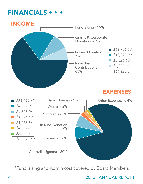### **FINANCIALS •**



\*Fundraising and Admin cost covered by Board Members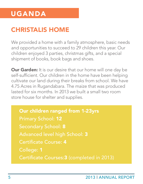# UGANDA

# CHRISTALIS HOME

We provided a home with a family atmosphere, basic needs and opportunities to succeed to 29 children this year. Our children enjoyed 3 parties, christmas gifts, and a special shipment of books, book bags and shoes.

**Our Garden:** It is our desire that our home will one day be self-sufficient. Our children in the home have been helping cultivate our land during their breaks from school. We have 4.75 Acres in Rugandabara. The maize that was produced lasted for six months. In 2013 we built a small two room store house for shelter and supplies.

# Our children ranged from 1-23yrs

College: 1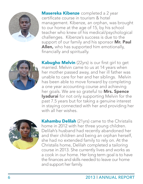

Masereka Kibenze completed a 2 year certificate course in tourism & hotel management. Kibenze, an orphan, was brought to our home at the age of 15, by his school teacher who knew of his medical/psychological challenges. Kibenze's success is due to the support of our family and his sponsor Mr. Paul **Allen,** who has supported him emotionally, financially and spiritually.



Kabugho Melvin (22yrs) is our first girl to get married. Melvin came to us at 14 years when her mother passed away, and her ill father was unable to care for her and her siblings. Melvin has been able to move forward by completing a one year accounting course and achieving her goals. We are so grateful to Mrs. Spence **Iyadurai** for not only supporting Melvin for the past 7.5 years but for taking a genuine interest in staying connected with her and providing her with all her wishes.



Kahambu Delilah (21yrs) came to the Christalis home in 2012 with her three young children. Delilah's husband had recently abandoned her and their children and being an orphan herself, she had no extended family to rely on. At the Christalis home, Delilah completed a tailoring course in 2013. She currently lives and works as a cook in our home. Her long term goal is to have the finances and skills needed to leave our home and support her family.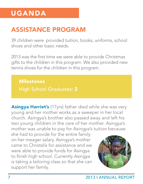# UGANDA

### ASSISTANCE PROGRAM

39 children were provided tuition, books, uniforms, school shoes and other basic needs.

2013 was the first time we were able to provide Christmas gifts to the children in this program. We also provided new tennis shoes for the children in this program.

**Milestones** 

**Asingya Harriet's** (17yrs) father died while she was very young and her mother works as a sweeper in her local church. Asingya's brother also passed away and left his two young children in the care of her mother. Asingya's mother was unable to pay for Asingya's tuition because

she had to provide for the entire family on her meager salary. Asingya's mother came to Christalis for assistance and we were able to provide funds for Asingya to finish high school. Currently Asingya is taking a tailoring class so that she can support her family.

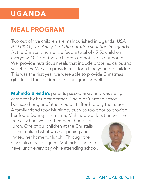# UGANDA

### MEAL PROGRAM

Two out of five children are malnourished in Uganda. *USA AID (2010)The Analysis of the nutrition situation in Uganda.* At the Christalis home, we feed a total of 45-50 children everyday. 10-15 of these children do not live in our home. We provide nutritious meals that include proteins, carbs and vegetables. We also provide milk for all the younger children. This was the first year we were able to provide Christmas gifts for all the children in this program as well.

**Muhindo Brenda's** parents passed away and was being cared for by her grandfather. She didn't attend school because her grandfather couldn't afford to pay the tuition. A family friend took Muhindo, but was too poor to provide her food. During lunch time, Muhindo would sit under the

tree at school while others went home for lunch. One of our children at the Christalis home realized what was happening and invited her home for lunch. Through the Christalis meal program, Muhindo is able to have lunch every day while attending school.

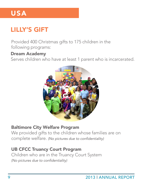# LILLY'S GIFT

Provided 400 Christmas gifts to 175 children in the following programs:

#### Dream Academy

Serves children who have at least 1 parent who is incarcerated.



#### Baltimore City Welfare Program

We provided gifts to the children whose families are on complete welfare. (No pictures due to confidentiality)

#### UB CFCC Truancy Court Program

Children who are in the Truancy Court System (No pictures due to confidentiality)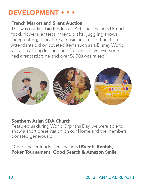### DEVELOPMENT • • •

#### French Market and Silent Auction

This was our first big fundraiser. Activities included French food, flowers, entertainment, crafts, juggling shows, facepainting, caricatures, music and a silent auction. Attendants bid on coveted items such as a Disney World vacations, flying lessons, and flat screen TVs. Everyone had a fantastic time and over \$8,000 was raised.



#### Southern Asian SDA Church:

Featured us during World Orphans Day, we were able to show a short presentation on our Home and the members donated generously.

Other smaller fundraisers included Events Rentals, Poker Tournament, Good Search & Amazon Smile.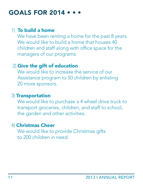### **GOALS FOR 2014 •**

#### 1) To build a home

We have been renting a home for the past 8 years. We would like to build a home that houses 40 children and staff along with office space for the managers of our programs.

#### 2) Give the gift of education

We would like to increase the service of our Assistance program to 50 children by enlisting 20 more sponsors.

#### 3) Transportation

We would like to purchase a 4 wheel drive truck to transport groceries, children, and staff to school, the garden and other activities.

#### 4) Christmas Cheer

We would like to provide Christmas gifts to 200 children in need.